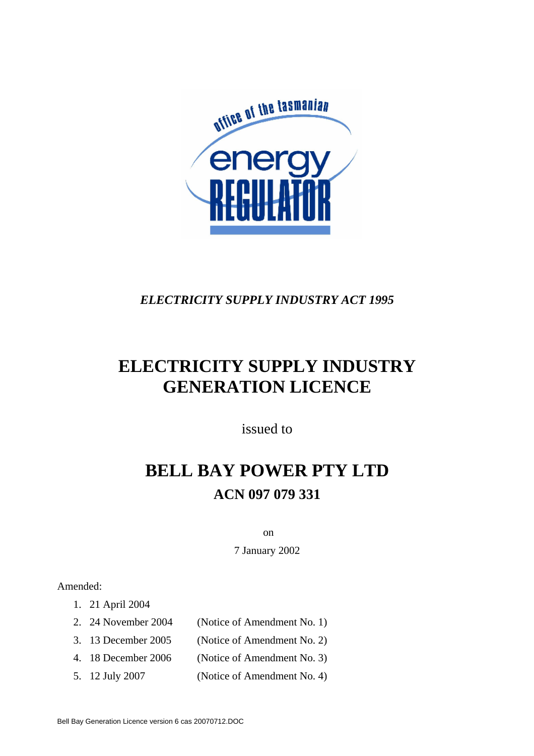

# *ELECTRICITY SUPPLY INDUSTRY ACT 1995*

# **ELECTRICITY SUPPLY INDUSTRY GENERATION LICENCE**

issued to

# **BELL BAY POWER PTY LTD ACN 097 079 331**

on

7 January 2002

#### Amended:

- 1. 21 April 2004
- 2. 24 November 2004 (Notice of Amendment No. 1)
- 3. 13 December 2005 (Notice of Amendment No. 2)
- 4. 18 December 2006 (Notice of Amendment No. 3)
- 5. 12 July 2007 (Notice of Amendment No. 4)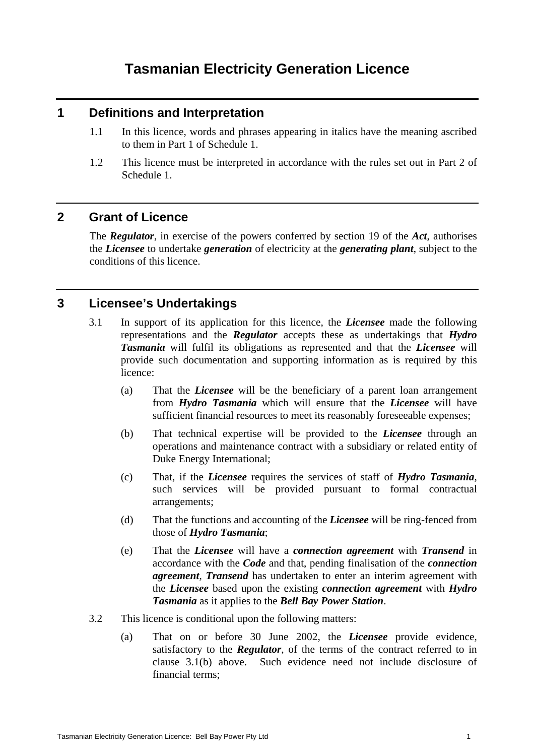# **Tasmanian Electricity Generation Licence**

#### **1 Definitions and Interpretation**

- 1.1 In this licence, words and phrases appearing in italics have the meaning ascribed to them in Part 1 of Schedule 1.
- 1.2 This licence must be interpreted in accordance with the rules set out in Part 2 of Schedule 1.

#### **2 Grant of Licence**

The *Regulator*, in exercise of the powers conferred by section 19 of the *Act*, authorises the *Licensee* to undertake *generation* of electricity at the *generating plant*, subject to the conditions of this licence.

## **3 Licensee's Undertakings**

- 3.1 In support of its application for this licence, the *Licensee* made the following representations and the *Regulator* accepts these as undertakings that *Hydro Tasmania* will fulfil its obligations as represented and that the *Licensee* will provide such documentation and supporting information as is required by this licence:
	- (a) That the *Licensee* will be the beneficiary of a parent loan arrangement from *Hydro Tasmania* which will ensure that the *Licensee* will have sufficient financial resources to meet its reasonably foreseeable expenses;
	- (b) That technical expertise will be provided to the *Licensee* through an operations and maintenance contract with a subsidiary or related entity of Duke Energy International;
	- (c) That, if the *Licensee* requires the services of staff of *Hydro Tasmania*, such services will be provided pursuant to formal contractual arrangements;
	- (d) That the functions and accounting of the *Licensee* will be ring-fenced from those of *Hydro Tasmania*;
	- (e) That the *Licensee* will have a *connection agreement* with *Transend* in accordance with the *Code* and that, pending finalisation of the *connection agreement*, *Transend* has undertaken to enter an interim agreement with the *Licensee* based upon the existing *connection agreement* with *Hydro Tasmania* as it applies to the *Bell Bay Power Station*.
- 3.2 This licence is conditional upon the following matters:
	- (a) That on or before 30 June 2002, the *Licensee* provide evidence, satisfactory to the *Regulator*, of the terms of the contract referred to in clause 3.1(b) above. Such evidence need not include disclosure of financial terms;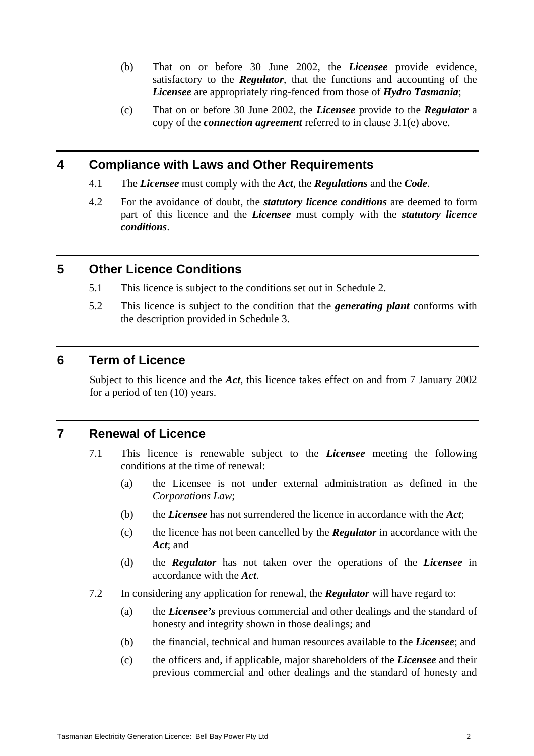- (b) That on or before 30 June 2002, the *Licensee* provide evidence, satisfactory to the *Regulator*, that the functions and accounting of the *Licensee* are appropriately ring-fenced from those of *Hydro Tasmania*;
- (c) That on or before 30 June 2002, the *Licensee* provide to the *Regulator* a copy of the *connection agreement* referred to in clause 3.1(e) above.

#### **4 Compliance with Laws and Other Requirements**

- 4.1 The *Licensee* must comply with the *Act*, the *Regulations* and the *Code*.
- 4.2 For the avoidance of doubt, the *statutory licence conditions* are deemed to form part of this licence and the *Licensee* must comply with the *statutory licence conditions*.

#### **5 Other Licence Conditions**

- 5.1 This licence is subject to the conditions set out in Schedule 2.
- 5.2 This licence is subject to the condition that the *generating plant* conforms with the description provided in Schedule 3.

#### **6 Term of Licence**

Subject to this licence and the *Act*, this licence takes effect on and from 7 January 2002 for a period of ten (10) years.

## **7 Renewal of Licence**

- 7.1 This licence is renewable subject to the *Licensee* meeting the following conditions at the time of renewal:
	- (a) the Licensee is not under external administration as defined in the *Corporations Law*;
	- (b) the *Licensee* has not surrendered the licence in accordance with the *Act*;
	- (c) the licence has not been cancelled by the *Regulator* in accordance with the *Act*; and
	- (d) the *Regulator* has not taken over the operations of the *Licensee* in accordance with the *Act*.
- 7.2 In considering any application for renewal, the *Regulator* will have regard to:
	- (a) the *Licensee's* previous commercial and other dealings and the standard of honesty and integrity shown in those dealings; and
	- (b) the financial, technical and human resources available to the *Licensee*; and
	- (c) the officers and, if applicable, major shareholders of the *Licensee* and their previous commercial and other dealings and the standard of honesty and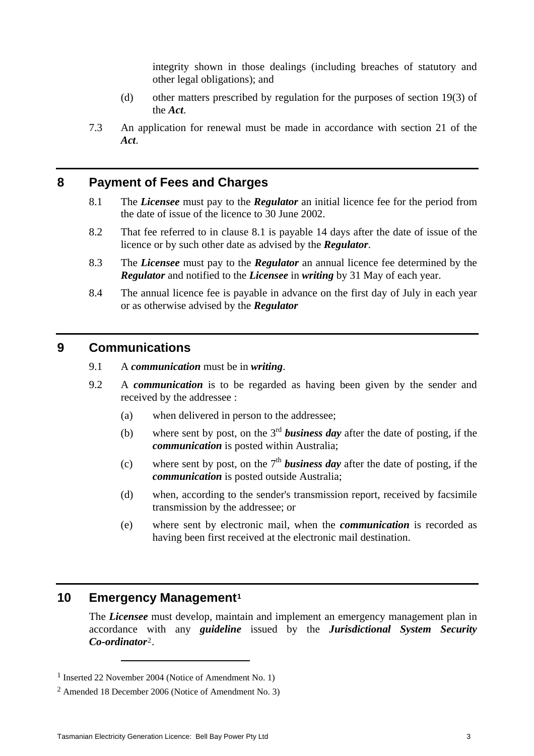integrity shown in those dealings (including breaches of statutory and other legal obligations); and

- (d) other matters prescribed by regulation for the purposes of section 19(3) of the *Act*.
- 7.3 An application for renewal must be made in accordance with section 21 of the *Act*.

#### **8 Payment of Fees and Charges**

- 8.1 The *Licensee* must pay to the *Regulator* an initial licence fee for the period from the date of issue of the licence to 30 June 2002.
- 8.2 That fee referred to in clause 8.1 is payable 14 days after the date of issue of the licence or by such other date as advised by the *Regulator*.
- 8.3 The *Licensee* must pay to the *Regulator* an annual licence fee determined by the *Regulator* and notified to the *Licensee* in *writing* by 31 May of each year.
- 8.4 The annual licence fee is payable in advance on the first day of July in each year or as otherwise advised by the *Regulator*

#### **9 Communications**

- 9.1 A *communication* must be in *writing*.
- 9.2 A *communication* is to be regarded as having been given by the sender and received by the addressee :
	- (a) when delivered in person to the addressee;
	- (b) where sent by post, on the 3rd *business day* after the date of posting, if the *communication* is posted within Australia;
	- (c) where sent by post, on the  $7<sup>th</sup>$  **business day** after the date of posting, if the *communication* is posted outside Australia;
	- (d) when, according to the sender's transmission report, received by facsimile transmission by the addressee; or
	- (e) where sent by electronic mail, when the *communication* is recorded as having been first received at the electronic mail destination.

# **10 Emergency Management[1](#page-3-0)**

 $\overline{a}$ 

The *Licensee* must develop, maintain and implement an emergency management plan in accordance with any *guideline* issued by the *Jurisdictional System Security Co-ordinator*[2](#page-3-1).

<span id="page-3-0"></span><sup>1</sup> Inserted 22 November 2004 (Notice of Amendment No. 1)

<span id="page-3-1"></span><sup>2</sup> Amended 18 December 2006 (Notice of Amendment No. 3)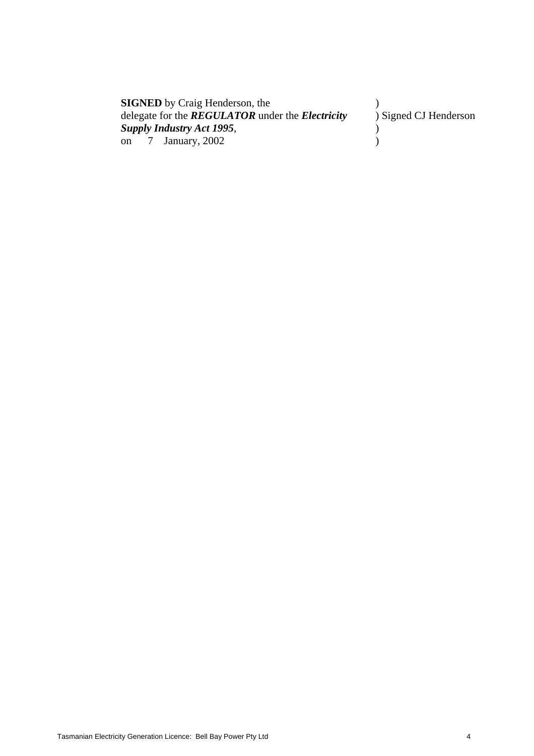| <b>SIGNED</b> by Craig Henderson, the                          |                       |
|----------------------------------------------------------------|-----------------------|
| delegate for the <b>REGULATOR</b> under the <b>Electricity</b> | ) Signed CJ Henderson |
| <b>Supply Industry Act 1995,</b>                               |                       |
| on $\frac{7}{2}$ January, 2002                                 |                       |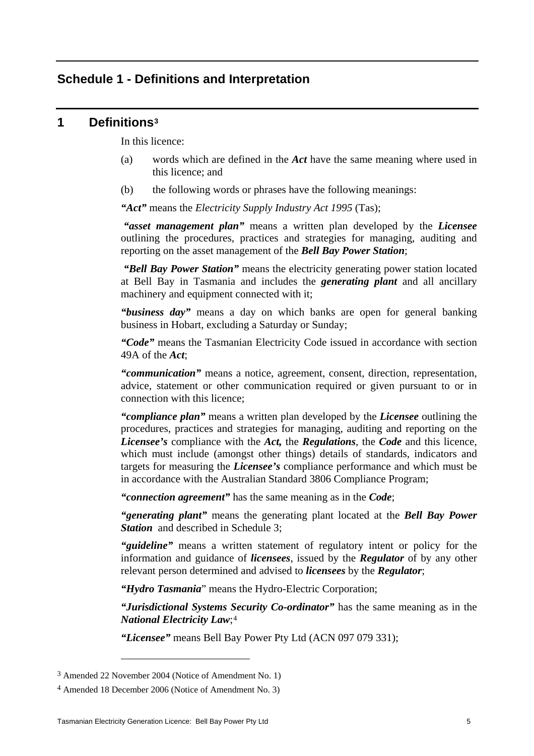#### **Schedule 1 - Definitions and Interpretation**

#### **1 Definitions[3](#page-5-0)**

In this licence:

- (a) words which are defined in the *Act* have the same meaning where used in this licence; and
- (b) the following words or phrases have the following meanings:

*"Act"* means the *Electricity Supply Industry Act 1995* (Tas);

*"asset management plan"* means a written plan developed by the *Licensee* outlining the procedures, practices and strategies for managing, auditing and reporting on the asset management of the *Bell Bay Power Station*;

 *"Bell Bay Power Station"* means the electricity generating power station located at Bell Bay in Tasmania and includes the *generating plant* and all ancillary machinery and equipment connected with it;

*"business day"* means a day on which banks are open for general banking business in Hobart, excluding a Saturday or Sunday;

*"Code"* means the Tasmanian Electricity Code issued in accordance with section 49A of the *Act*;

*"communication"* means a notice, agreement, consent, direction, representation, advice, statement or other communication required or given pursuant to or in connection with this licence;

*"compliance plan"* means a written plan developed by the *Licensee* outlining the procedures, practices and strategies for managing, auditing and reporting on the *Licensee's* compliance with the *Act,* the *Regulations*, the *Code* and this licence, which must include (amongst other things) details of standards, indicators and targets for measuring the *Licensee's* compliance performance and which must be in accordance with the Australian Standard 3806 Compliance Program;

*"connection agreement"* has the same meaning as in the *Code*;

*"generating plant"* means the generating plant located at the *Bell Bay Power*  **Station** and described in Schedule 3:

*"guideline"* means a written statement of regulatory intent or policy for the information and guidance of *licensees*, issued by the *Regulator* of by any other relevant person determined and advised to *licensees* by the *Regulator*;

*"Hydro Tasmania*" means the Hydro-Electric Corporation;

*"Jurisdictional Systems Security Co-ordinator"* has the same meaning as in the *National Electricity Law*;[4](#page-5-1)

*"Licensee"* means Bell Bay Power Pty Ltd (ACN 097 079 331);

 $\overline{a}$ 

<span id="page-5-0"></span><sup>3</sup> Amended 22 November 2004 (Notice of Amendment No. 1)

<span id="page-5-1"></span><sup>4</sup> Amended 18 December 2006 (Notice of Amendment No. 3)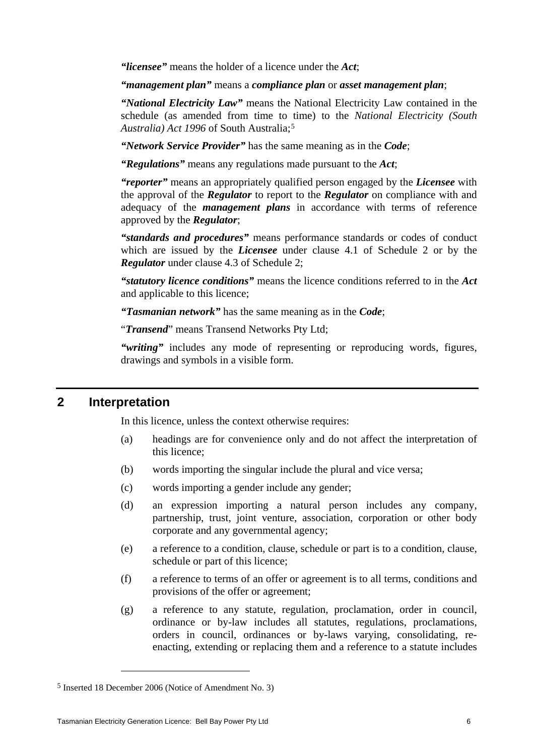*"licensee"* means the holder of a licence under the *Act*;

*"management plan"* means a *compliance plan* or *asset management plan*;

*"National Electricity Law"* means the National Electricity Law contained in the schedule (as amended from time to time) to the *National Electricity (South Australia) Act 1996* of South Australia;[5](#page-6-0)

*"Network Service Provider"* has the same meaning as in the *Code*;

*"Regulations"* means any regulations made pursuant to the *Act*;

*"reporter"* means an appropriately qualified person engaged by the *Licensee* with the approval of the *Regulator* to report to the *Regulator* on compliance with and adequacy of the *management plans* in accordance with terms of reference approved by the *Regulator*;

*"standards and procedures"* means performance standards or codes of conduct which are issued by the *Licensee* under clause 4.1 of Schedule 2 or by the *Regulator* under clause 4.3 of Schedule 2;

*"statutory licence conditions"* means the licence conditions referred to in the *Act*  and applicable to this licence;

*"Tasmanian network"* has the same meaning as in the *Code*;

"*Transend*" means Transend Networks Pty Ltd;

*"writing"* includes any mode of representing or reproducing words, figures, drawings and symbols in a visible form.

#### **2 Interpretation**

In this licence, unless the context otherwise requires:

- (a) headings are for convenience only and do not affect the interpretation of this licence;
- (b) words importing the singular include the plural and vice versa;
- (c) words importing a gender include any gender;
- (d) an expression importing a natural person includes any company, partnership, trust, joint venture, association, corporation or other body corporate and any governmental agency;
- (e) a reference to a condition, clause, schedule or part is to a condition, clause, schedule or part of this licence;
- (f) a reference to terms of an offer or agreement is to all terms, conditions and provisions of the offer or agreement;
- (g) a reference to any statute, regulation, proclamation, order in council, ordinance or by-law includes all statutes, regulations, proclamations, orders in council, ordinances or by-laws varying, consolidating, reenacting, extending or replacing them and a reference to a statute includes

 $\overline{a}$ 

<span id="page-6-0"></span><sup>5</sup> Inserted 18 December 2006 (Notice of Amendment No. 3)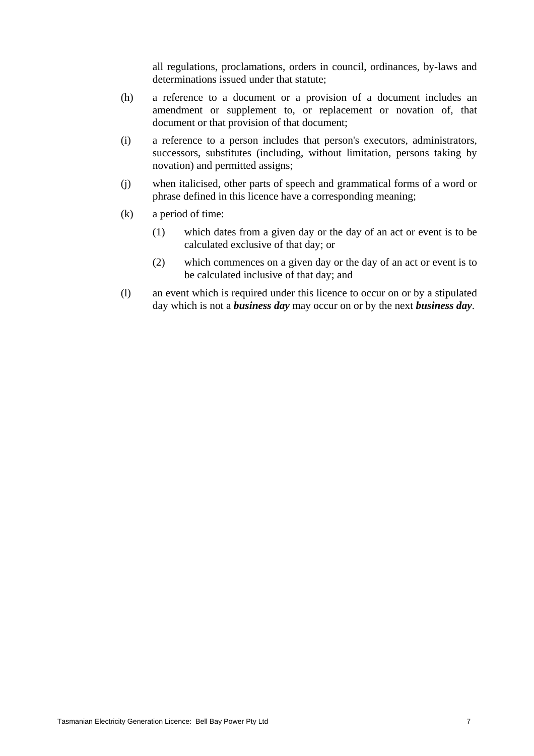all regulations, proclamations, orders in council, ordinances, by-laws and determinations issued under that statute;

- (h) a reference to a document or a provision of a document includes an amendment or supplement to, or replacement or novation of, that document or that provision of that document;
- (i) a reference to a person includes that person's executors, administrators, successors, substitutes (including, without limitation, persons taking by novation) and permitted assigns;
- (j) when italicised, other parts of speech and grammatical forms of a word or phrase defined in this licence have a corresponding meaning;
- (k) a period of time:
	- (1) which dates from a given day or the day of an act or event is to be calculated exclusive of that day; or
	- (2) which commences on a given day or the day of an act or event is to be calculated inclusive of that day; and
- (l) an event which is required under this licence to occur on or by a stipulated day which is not a *business day* may occur on or by the next *business day*.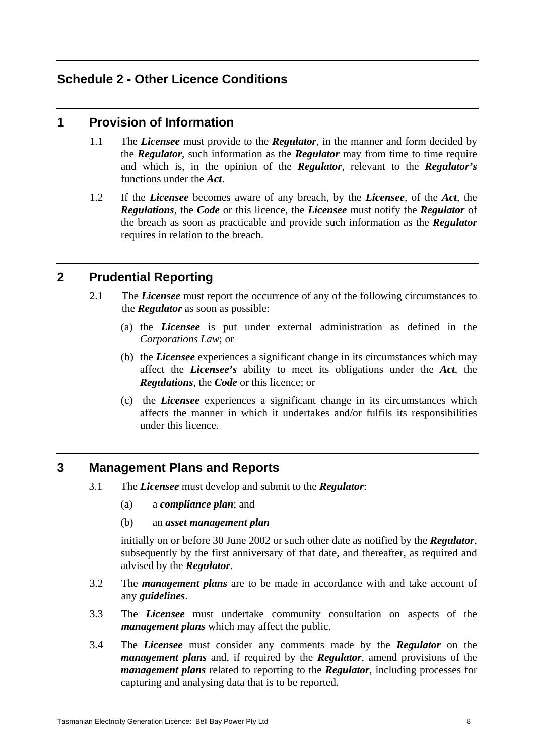## **Schedule 2 - Other Licence Conditions**

#### **1 Provision of Information**

- 1.1 The *Licensee* must provide to the *Regulator*, in the manner and form decided by the *Regulator*, such information as the *Regulator* may from time to time require and which is, in the opinion of the *Regulator*, relevant to the *Regulator's*  functions under the *Act*.
- 1.2 If the *Licensee* becomes aware of any breach, by the *Licensee*, of the *Act*, the *Regulations*, the *Code* or this licence, the *Licensee* must notify the *Regulator* of the breach as soon as practicable and provide such information as the *Regulator*  requires in relation to the breach.

## **2 Prudential Reporting**

- 2.1 The *Licensee* must report the occurrence of any of the following circumstances to the *Regulator* as soon as possible:
	- (a) the *Licensee* is put under external administration as defined in the *Corporations Law*; or
	- (b) the *Licensee* experiences a significant change in its circumstances which may affect the *Licensee's* ability to meet its obligations under the *Act*, the *Regulations*, the *Code* or this licence; or
	- (c) the *Licensee* experiences a significant change in its circumstances which affects the manner in which it undertakes and/or fulfils its responsibilities under this licence.

## **3 Management Plans and Reports**

- 3.1 The *Licensee* must develop and submit to the *Regulator*:
	- (a) a *compliance plan*; and
	- (b) an *asset management plan*

initially on or before 30 June 2002 or such other date as notified by the *Regulator*, subsequently by the first anniversary of that date, and thereafter, as required and advised by the *Regulator*.

- 3.2 The *management plans* are to be made in accordance with and take account of any *guidelines*.
- 3.3 The *Licensee* must undertake community consultation on aspects of the *management plans* which may affect the public.
- 3.4 The *Licensee* must consider any comments made by the *Regulator* on the *management plans* and, if required by the *Regulator*, amend provisions of the *management plans* related to reporting to the *Regulator*, including processes for capturing and analysing data that is to be reported.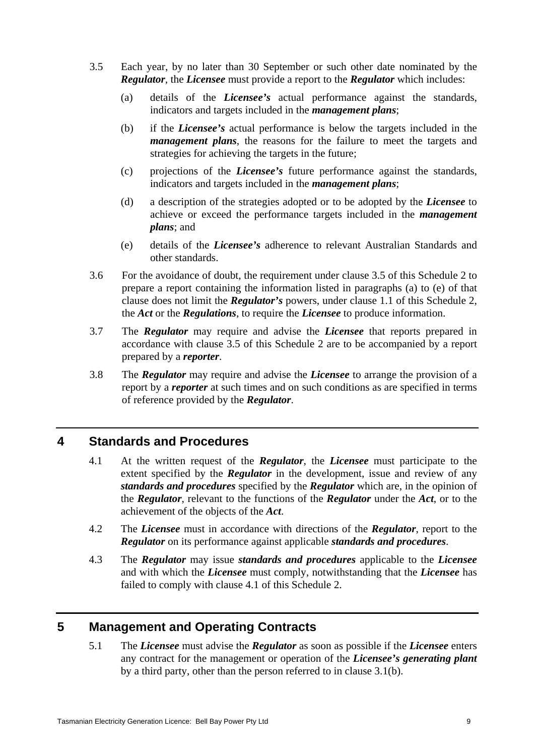- 3.5 Each year, by no later than 30 September or such other date nominated by the *Regulator*, the *Licensee* must provide a report to the *Regulator* which includes:
	- (a) details of the *Licensee's* actual performance against the standards, indicators and targets included in the *management plans*;
	- (b) if the *Licensee's* actual performance is below the targets included in the *management plans*, the reasons for the failure to meet the targets and strategies for achieving the targets in the future;
	- (c) projections of the *Licensee's* future performance against the standards, indicators and targets included in the *management plans*;
	- (d) a description of the strategies adopted or to be adopted by the *Licensee* to achieve or exceed the performance targets included in the *management plans*; and
	- (e) details of the *Licensee's* adherence to relevant Australian Standards and other standards.
- 3.6 For the avoidance of doubt, the requirement under clause 3.5 of this Schedule 2 to prepare a report containing the information listed in paragraphs (a) to (e) of that clause does not limit the *Regulator's* powers, under clause 1.1 of this Schedule 2, the *Act* or the *Regulations*, to require the *Licensee* to produce information.
- 3.7 The *Regulator* may require and advise the *Licensee* that reports prepared in accordance with clause 3.5 of this Schedule 2 are to be accompanied by a report prepared by a *reporter*.
- 3.8 The *Regulator* may require and advise the *Licensee* to arrange the provision of a report by a *reporter* at such times and on such conditions as are specified in terms of reference provided by the *Regulator*.

## **4 Standards and Procedures**

- 4.1 At the written request of the *Regulator*, the *Licensee* must participate to the extent specified by the *Regulator* in the development, issue and review of any *standards and procedures* specified by the *Regulator* which are, in the opinion of the *Regulator*, relevant to the functions of the *Regulator* under the *Act*, or to the achievement of the objects of the *Act*.
- 4.2 The *Licensee* must in accordance with directions of the *Regulator*, report to the *Regulator* on its performance against applicable *standards and procedures*.
- 4.3 The *Regulator* may issue *standards and procedures* applicable to the *Licensee* and with which the *Licensee* must comply, notwithstanding that the *Licensee* has failed to comply with clause 4.1 of this Schedule 2.

## **5 Management and Operating Contracts**

5.1 The *Licensee* must advise the *Regulator* as soon as possible if the *Licensee* enters any contract for the management or operation of the *Licensee's generating plant* by a third party, other than the person referred to in clause 3.1(b).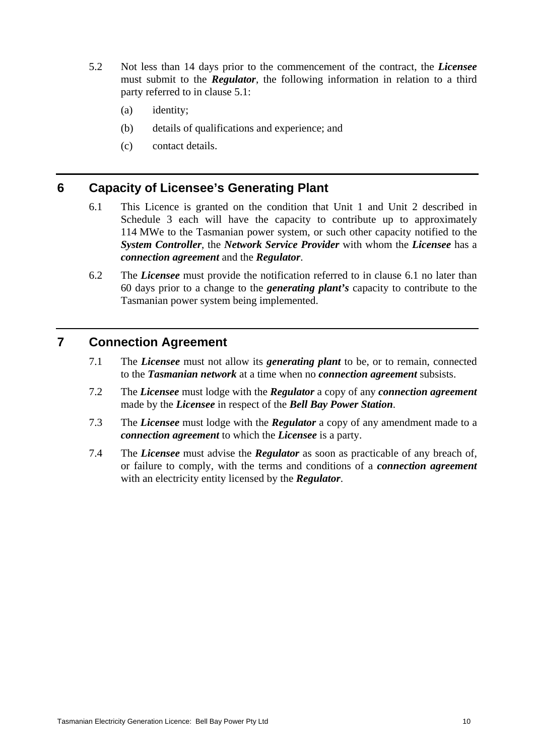- 5.2 Not less than 14 days prior to the commencement of the contract, the *Licensee*  must submit to the *Regulator*, the following information in relation to a third party referred to in clause 5.1:
	- (a) identity;
	- (b) details of qualifications and experience; and
	- (c) contact details.

#### **6 Capacity of Licensee's Generating Plant**

- 6.1 This Licence is granted on the condition that Unit 1 and Unit 2 described in Schedule 3 each will have the capacity to contribute up to approximately 114 MWe to the Tasmanian power system, or such other capacity notified to the *System Controller*, the *Network Service Provider* with whom the *Licensee* has a *connection agreement* and the *Regulator*.
- 6.2 The *Licensee* must provide the notification referred to in clause 6.1 no later than 60 days prior to a change to the *generating plant's* capacity to contribute to the Tasmanian power system being implemented.

## **7 Connection Agreement**

- 7.1 The *Licensee* must not allow its *generating plant* to be, or to remain, connected to the *Tasmanian network* at a time when no *connection agreement* subsists.
- 7.2 The *Licensee* must lodge with the *Regulator* a copy of any *connection agreement*  made by the *Licensee* in respect of the *Bell Bay Power Station*.
- 7.3 The *Licensee* must lodge with the *Regulator* a copy of any amendment made to a *connection agreement* to which the *Licensee* is a party.
- 7.4 The *Licensee* must advise the *Regulator* as soon as practicable of any breach of, or failure to comply, with the terms and conditions of a *connection agreement* with an electricity entity licensed by the *Regulator*.